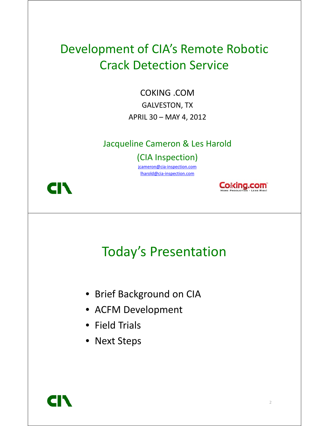#### Development of CIA's Remote Robotic Crack Detection Service

COKING COM COKING .COM GALVESTON, TX APRIL 30 - MAY 4, 2012

#### Jacqueline Cameron & Les Harold

(CIA Inspection)

jcameron@cia-inspection.com lharold@cia-inspection.com





#### Today's Presentation

- Brief Background on CIA
- $\bullet\,$  ACFM Development
- Field Trials
- Next Steps

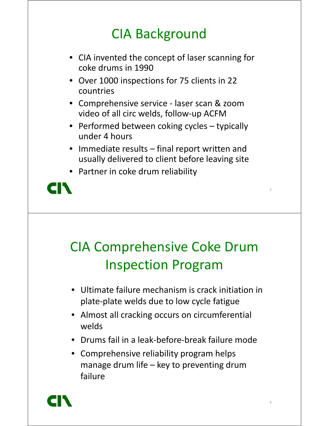## CIA Background

- CIA invented the concept of laser scanning for coke drums in 1990
- Over 1000 inspections for 75 clients in 22 countries
- Comprehensive service laser scan & zoom video of all circ welds, follow-up ACFM
- Performed between coking cycles typically under 4 hours
- $\bullet$  Immediate results final report written and usually delivered to client before leaving site

3

4

• Partner in coke drum reliability



# CIA Comprehensive Coke Drum Inspection Program

- Ultimate failure mechanism is crack initiation in plate-plate welds due to low cycle fatigue
- Almost all cracking occurs on circumferential welds
- Drums fail in a leak-before-break failure mode
- Comprehensive reliability program helps manage drum life – key to preventing drum failure

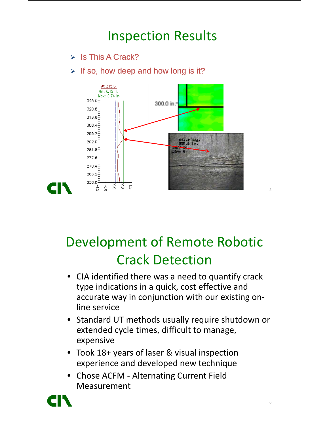#### Inspection Results  $\triangleright$  Is This A Crack?  $\triangleright$  If so, how deep and how long is it? At 315.6.  $Min: 0.15$  in. Max: 0.74 in.  $328.0 +$ 300.0 in. 320.8  $313.6 -$ 306.4 299.2 292.0  $284.8$  $277.6<sup>‡</sup>$  $270.4$  $263.2$  $256.0 +$

## Development of Remote Robotic Crack Detection

- •CIA identified there was a need to quantify crack type indications in a quick, cost effective and accurate way in conjunction with our existing online service
- Standard UT methods usually require shutdown or extended cycle times, difficult to manage, expensive
- Took 18+ years of laser & visual inspection experience and developed new technique
- Chose ACFM Alternating Current Field Measurement

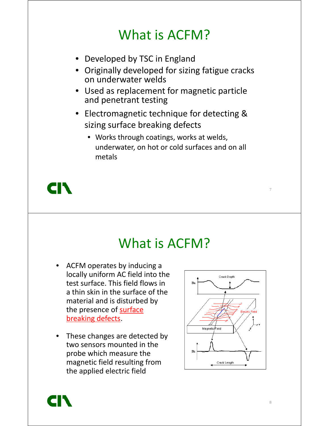### What is ACFM?

- Developed by TSC in England
- Originally developed for sizing fatigue cracks on underwater welds
- Used as replacement for magnetic particle and penetrant testing
- Electromagnetic technique for detecting & sizing surface breaking defects
	- Works through coatings, works at welds, underwater, on hot or cold surfaces and on all metals



#### What is ACFM?

- ACFM operates by inducing a locally uniform AC field into the test surface. This field flows in a thin skin in the surface of the material and is disturbed by the presence of surface breaking defects.
- These changes are detected by two sensors mounted in the probe which measure the magnetic field resulting from the applied electric field



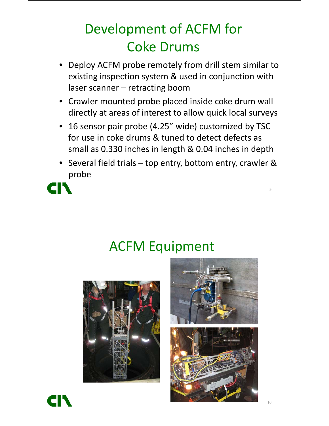# Development of ACFM for Coke Drums

- •Deploy ACFM probe remotely from drill stem similar to existing inspection system & used in conjunction with laser scanner – retracting boom
- Crawler mounted probe placed inside coke drum wall directly at areas of interest to allow quick local surveys
- • 16 sensor pair probe (4.25" wide) customized by TSC for use in coke drums & tuned to detect defects as small as 0.330 inches in length & 0.04 inches in depth
- Several field trials top entry, bottom entry, crawler & probe



#### ACFM Equipment





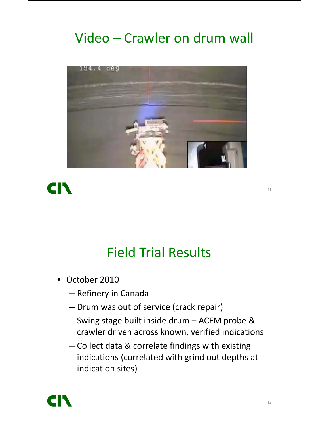## Video – Crawler on drum wall





#### **Field Trial Results**

- $\bullet$  October 2010
	- Refinery in Canada
	- Drum was out of service (crack repair)
	- Swing stage built inside drum ACFM probe & crawler driven across known, verified indications
	- Collect data & correlate findings with existing indications (correlated with grind out depths at indication sites)

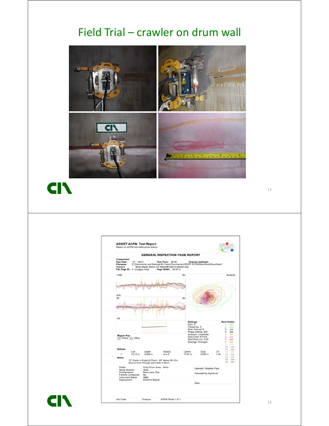#### Field Trial – crawler on drum wall



**CIN** 



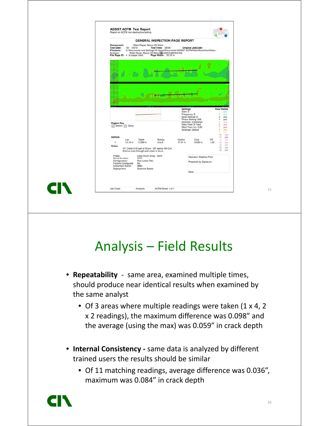|                                             |                                                                                         |                                                                                              | <b>GENERAL INSPECTION PAGE REPORT</b>                                                                                                                                                           |                            |                                                                                           |            |                                                                    |
|---------------------------------------------|-----------------------------------------------------------------------------------------|----------------------------------------------------------------------------------------------|-------------------------------------------------------------------------------------------------------------------------------------------------------------------------------------------------|----------------------------|-------------------------------------------------------------------------------------------|------------|--------------------------------------------------------------------|
| <b>Test Date:</b><br>Filename:<br>Analysis\ | Component:<br>10/ /2010<br>File Page ID: 4 (4 pages total)                              | - Weld Repair Above C5 West                                                                  | Test Time: 08:56<br>C:\Documents and Settings\All Users\Documents\ASSIST ACFMMainStore\ScanData\<br>Weld Repair Above C5 West Well Applied 094324.Dat<br>4 (4 pages total) Page Width: 32.33 in |                            | Original JobCode:                                                                         |            |                                                                    |
|                                             |                                                                                         |                                                                                              |                                                                                                                                                                                                 |                            |                                                                                           |            |                                                                    |
|                                             |                                                                                         |                                                                                              |                                                                                                                                                                                                 |                            |                                                                                           |            |                                                                    |
|                                             |                                                                                         |                                                                                              |                                                                                                                                                                                                 |                            |                                                                                           |            |                                                                    |
|                                             |                                                                                         |                                                                                              |                                                                                                                                                                                                 | <b>Settings</b><br>Gain: 2 | Frequency: 5<br>Scan Interval: 0<br>Phase Setting: 205                                    |            | Row/Visible<br>yes:<br>yes<br>з<br>yes<br>4<br>yes                 |
|                                             | <b>Region Key</b><br>Defect /// Other                                                   |                                                                                              |                                                                                                                                                                                                 |                            | Direction: Clockwise<br>Data Field: X Field<br>Start Posn (in): 0.00<br>Scalings: Default |            | 5<br>yes<br>6<br>yes<br>7<br>yès<br>8<br>yes<br>٠<br><b>Viditi</b> |
| <b>Defects</b><br>1:                        | Len<br>12.10 in                                                                         | Depth<br>0.398 in                                                                            | Row(s)<br>$9$ to $8$                                                                                                                                                                            | Centre<br>17,81 in         | Coat<br>0.000 in                                                                          | CF<br>1.00 | 10<br>yes<br>11<br>yes<br>12<br>yos<br>13<br>yes<br>14<br>yes      |
| <b>Notes</b>                                |                                                                                         | 15" Crack in N part of Drum - 20" above 5th Circ<br>2nd run over through wall crack in drum. |                                                                                                                                                                                                 |                            |                                                                                           |            | 15<br>yes<br>16<br>yes                                             |
|                                             | Probe:<br>Serial Number:<br>Configuration:<br>Factory Configured:<br>Instrument Serial: | Coke Drum Array - 5kHz<br>3022<br>New Lower Res<br><b>No</b><br>3882                         |                                                                                                                                                                                                 |                            | Operator: Stephen Park<br>Prepared by Signature:                                          |            |                                                                    |

## Analysis – Field Results

- **Repeatability**  same area, examined multiple times, should produce near identical results when examined by the same analyst
	- Of 3 areas where multiple readings were taken (1 x 4, 2 x 2 readings), the maximum difference was 0.098" and the average (using the max) was 0.059" in crack depth
- **Internal Consistency -** same data is analyzed by different trained users the results should be similar
	- Of 11 matching readings, average difference was 0.036", maximum was 0.084" in crack depth

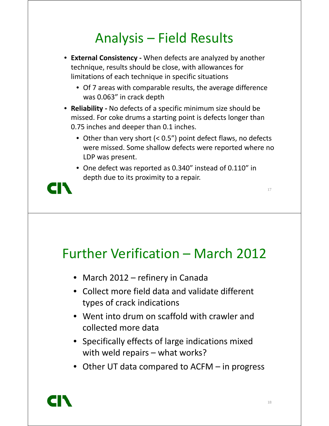## Analysis – Field Results

- **External Consistency -** When defects are analyzed by another technique, results should be close, with allowances for limitations of each technique in specific situations
	- Of 7 areas with comparable results, the average difference was 0.063" in crack depth
- **Reliability -** No defects of a specific minimum size should be missed. For coke drums a starting point is defects longer than 0.75 inches and deeper than 0.1 inches.
	- Other than very short (< 0.5") point defect flaws, no defects were missed. Some shallow defects were reported where no LDP was present.
	- One defect was reported as 0.340" instead of 0.110" in depth due to its proximity to a repair.



#### Further Verification – March 2012

- March 2012 refinery in Canada
- Collect more field data and validate different types of crack indications
- Went into drum on scaffold with crawler and collected more data
- Specifically effects of large indications mixed with weld repairs – what works?
- Other UT data compared to ACFM in progress

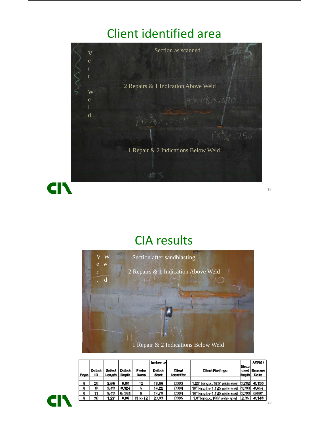#### Client identified area



| Page | <b>Defect</b><br>ID | Defect<br>Length | Defect<br>Depth | Probe<br>Rows | Inches to<br>Defect<br>Start | Client<br><b>Identifier</b> | Client Findings                        | Meas<br>ured<br>Depth | <b>ACFM/</b><br>Measure<br>Deita |
|------|---------------------|------------------|-----------------|---------------|------------------------------|-----------------------------|----------------------------------------|-----------------------|----------------------------------|
| 8    | 28                  | 2.84             | 0.87            | 12            | 10,06                        | C303                        | 1.25" long x .375" wide spall [0.282]  |                       | $-0.195$                         |
| 8    | 8                   | 9.43             | 0.324           | 튭             | 14.22                        | C304                        | 10" long by 1.125 wide spall [0.380]   |                       | $-0.057$                         |
| 8    | 11                  | 9,43             | 0,381           |               | 14.78                        | C304                        | 10" long by 1,125 wide spall [0,380]   |                       | 0.001                            |
| ø    | 30                  | 1.27             | 0.86            | 11 to 12      | 23,93                        | C305                        | 1.0" long x $183"$ wide spall $ 2.35 $ |                       | $-0.149$                         |
|      |                     |                  |                 |               |                              |                             |                                        |                       |                                  |

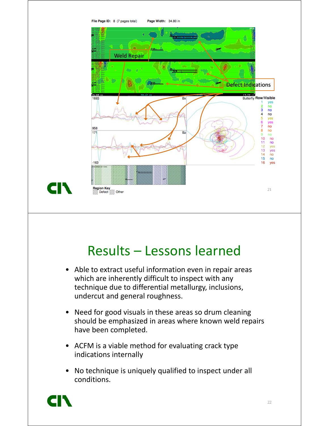

## Results – Lessons learned

- Able to extract useful information even in repair areas which are inherently difficult to inspect with any technique due to differential metallurgy, inclusions, undercut and general roughness.
- Need for good visuals in these areas so drum cleaning should be emphasized in areas where known weld repairs have been completed.
- ACFM is a viable method for evaluating crack type indications internally
- No technique is uniquely qualified to inspect under all conditions.

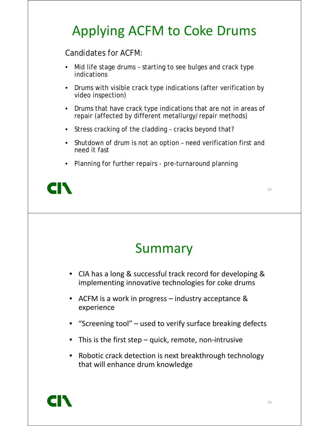# Applying ACFM to Coke Drums

Candidates for ACFM:

- •Mid life stage drums - starting to see bulges and crack type indications
- Drums with visible crack type indications (after verification by video inspection)
- Drums that have crack type indications that are not in areas of repair (affected by different metallurgy/repair methods)
- Stress cracking of the cladding cracks beyond that?
- Shutdown of drum is not an option need verification first and need it fast
- Planning for further repairs pre-turnaround planning



## Summary

- CIA has a long & successful track record for developing & implementing innovative technologies for coke drums
- ACFM is a work in progress industry acceptance & experience
- "Screening tool" used to verify surface breaking defects
- This is the first step quick, remote, non-intrusive
- •Robotic crack detection is next breakthrough technology that will enhance drum knowledge